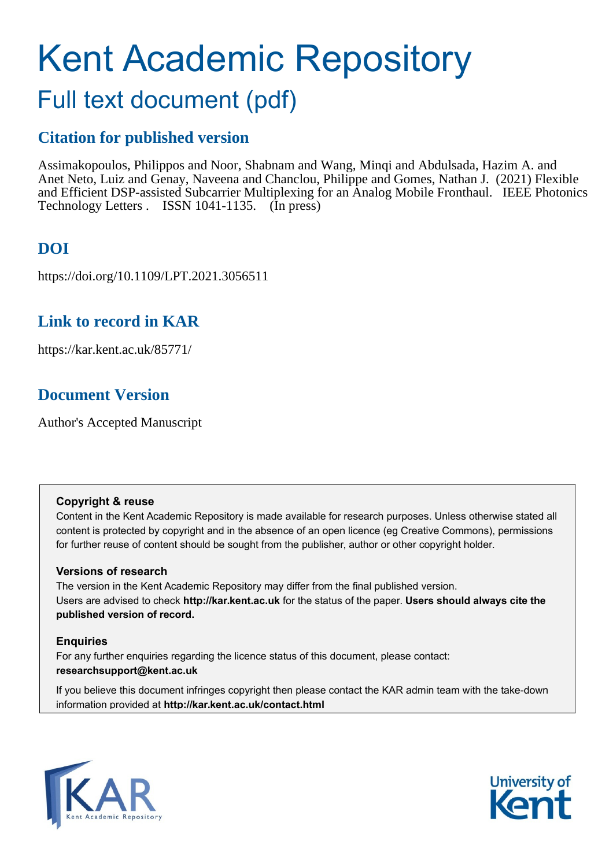# Kent Academic Repository

# Full text document (pdf)

## **Citation for published version**

Assimakopoulos, Philippos and Noor, Shabnam and Wang, Minqi and Abdulsada, Hazim A. and Anet Neto, Luiz and Genay, Naveena and Chanclou, Philippe and Gomes, Nathan J. (2021) Flexible and Efficient DSP-assisted Subcarrier Multiplexing for an Analog Mobile Fronthaul. IEEE Photonics Technology Letters . ISSN 1041-1135. (In press)

# **DOI**

https://doi.org/10.1109/LPT.2021.3056511

## **Link to record in KAR**

https://kar.kent.ac.uk/85771/

# **Document Version**

Author's Accepted Manuscript

### **Copyright & reuse**

Content in the Kent Academic Repository is made available for research purposes. Unless otherwise stated all content is protected by copyright and in the absence of an open licence (eg Creative Commons), permissions for further reuse of content should be sought from the publisher, author or other copyright holder.

### **Versions of research**

The version in the Kent Academic Repository may differ from the final published version. Users are advised to check **http://kar.kent.ac.uk** for the status of the paper. **Users should always cite the published version of record.**

### **Enquiries**

For any further enquiries regarding the licence status of this document, please contact: **researchsupport@kent.ac.uk**

If you believe this document infringes copyright then please contact the KAR admin team with the take-down information provided at **http://kar.kent.ac.uk/contact.html**



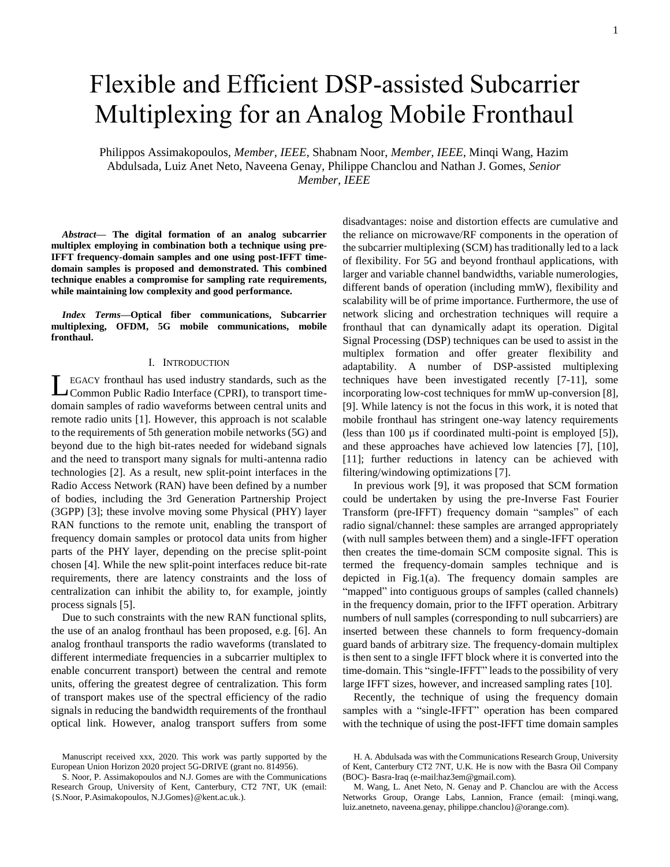# Flexible and Efficient DSP-assisted Subcarrier Multiplexing for an Analog Mobile Fronthaul

Philippos Assimakopoulos, *Member, IEEE,* Shabnam Noor, *Member, IEEE*, Minqi Wang, Hazim Abdulsada, Luiz Anet Neto, Naveena Genay, Philippe Chanclou and Nathan J. Gomes, *Senior Member, IEEE*

*Abstract***— The digital formation of an analog subcarrier multiplex employing in combination both a technique using pre-IFFT frequency-domain samples and one using post-IFFT timedomain samples is proposed and demonstrated. This combined technique enables a compromise for sampling rate requirements, while maintaining low complexity and good performance.**

*Index Terms***—Optical fiber communications, Subcarrier multiplexing, OFDM, 5G mobile communications, mobile fronthaul.** 

#### I. INTRODUCTION

LEGACY fronthaul has used industry standards, such as the Common Public Radio Interface (CPRI), to transport time-Common Public Radio Interface (CPRI), to transport timedomain samples of radio waveforms between central units and remote radio units [1]. However, this approach is not scalable to the requirements of 5th generation mobile networks (5G) and beyond due to the high bit-rates needed for wideband signals and the need to transport many signals for multi-antenna radio technologies [2]. As a result, new split-point interfaces in the Radio Access Network (RAN) have been defined by a number of bodies, including the 3rd Generation Partnership Project (3GPP) [3]; these involve moving some Physical (PHY) layer RAN functions to the remote unit, enabling the transport of frequency domain samples or protocol data units from higher parts of the PHY layer, depending on the precise split-point chosen [4]. While the new split-point interfaces reduce bit-rate requirements, there are latency constraints and the loss of centralization can inhibit the ability to, for example, jointly process signals [5].

Due to such constraints with the new RAN functional splits, the use of an analog fronthaul has been proposed, e.g. [6]. An analog fronthaul transports the radio waveforms (translated to different intermediate frequencies in a subcarrier multiplex to enable concurrent transport) between the central and remote units, offering the greatest degree of centralization. This form of transport makes use of the spectral efficiency of the radio signals in reducing the bandwidth requirements of the fronthaul optical link. However, analog transport suffers from some

disadvantages: noise and distortion effects are cumulative and the reliance on microwave/RF components in the operation of the subcarrier multiplexing (SCM) has traditionally led to a lack of flexibility. For 5G and beyond fronthaul applications, with larger and variable channel bandwidths, variable numerologies, different bands of operation (including mmW), flexibility and scalability will be of prime importance. Furthermore, the use of network slicing and orchestration techniques will require a fronthaul that can dynamically adapt its operation. Digital Signal Processing (DSP) techniques can be used to assist in the multiplex formation and offer greater flexibility and adaptability. A number of DSP-assisted multiplexing techniques have been investigated recently [7-11], some incorporating low-cost techniques for mmW up-conversion [8], [9]. While latency is not the focus in this work, it is noted that mobile fronthaul has stringent one-way latency requirements (less than 100 µs if coordinated multi-point is employed [5]), and these approaches have achieved low latencies [7], [10], [11]; further reductions in latency can be achieved with filtering/windowing optimizations [7].

In previous work [9], it was proposed that SCM formation could be undertaken by using the pre-Inverse Fast Fourier Transform (pre-IFFT) frequency domain "samples" of each radio signal/channel: these samples are arranged appropriately (with null samples between them) and a single-IFFT operation then creates the time-domain SCM composite signal. This is termed the frequency-domain samples technique and is depicted in Fig.1(a). The frequency domain samples are "mapped" into contiguous groups of samples (called channels) in the frequency domain, prior to the IFFT operation. Arbitrary numbers of null samples (corresponding to null subcarriers) are inserted between these channels to form frequency-domain guard bands of arbitrary size. The frequency-domain multiplex is then sent to a single IFFT block where it is converted into the time-domain. This "single-IFFT" leads to the possibility of very large IFFT sizes, however, and increased sampling rates [10].

Recently, the technique of using the frequency domain samples with a "single-IFFT" operation has been compared with the technique of using the post-IFFT time domain samples

Manuscript received xxx, 2020. This work was partly supported by the European Union Horizon 2020 project 5G-DRIVE (grant no. 814956).

S. Noor, P. Assimakopoulos and N.J. Gomes are with the Communications Research Group, University of Kent, Canterbury, CT2 7NT, UK (email: {S.Noor, P.Asimakopoulos, N.J.Gomes}@kent.ac.uk.).

H. A. Abdulsada was with the Communications Research Group, University of Kent, Canterbury CT2 7NT, U.K. He is now with the Basra Oil Company (BOC)- Basra-Iraq (e-mail:haz3em@gmail.com).

M. Wang, L. Anet Neto, N. Genay and P. Chanclou are with the Access Networks Group, Orange Labs, Lannion, France (email: {minqi.wang, luiz.anetneto, naveena.genay, philippe.chanclou}@orange.com).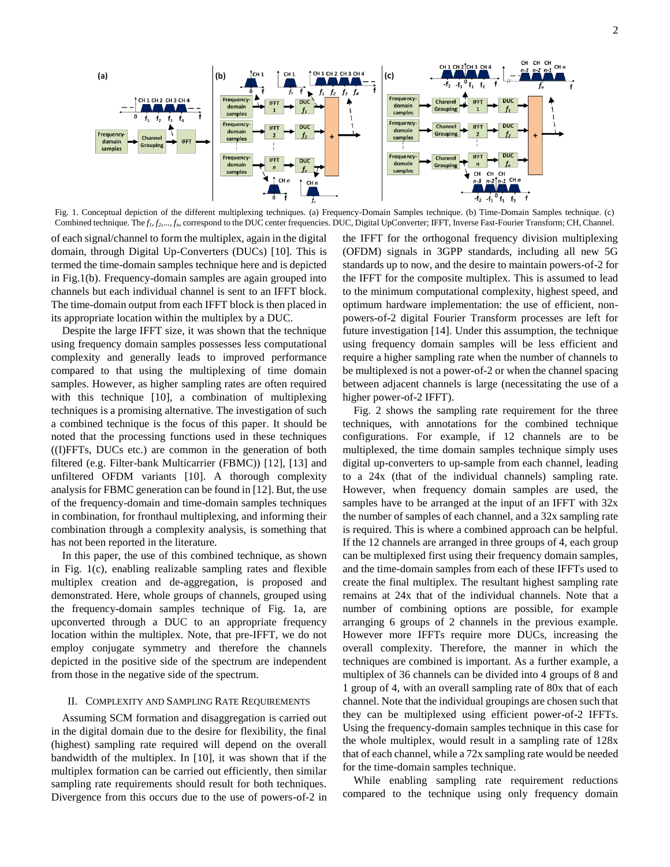

Fig. 1. Conceptual depiction of the different multiplexing techniques. (a) Frequency-Domain Samples technique. (b) Time-Domain Samples technique. (c) Combined technique. The *f1*, *f2*,..., *fn*, correspond to the DUC center frequencies. DUC, Digital UpConverter; IFFT, Inverse Fast-Fourier Transform; CH, Channel.

of each signal/channel to form the multiplex, again in the digital domain, through Digital Up-Converters (DUCs) [10]. This is termed the time-domain samples technique here and is depicted in Fig.1(b). Frequency-domain samples are again grouped into channels but each individual channel is sent to an IFFT block. The time-domain output from each IFFT block is then placed in its appropriate location within the multiplex by a DUC.

Despite the large IFFT size, it was shown that the technique using frequency domain samples possesses less computational complexity and generally leads to improved performance compared to that using the multiplexing of time domain samples. However, as higher sampling rates are often required with this technique [10], a combination of multiplexing techniques is a promising alternative. The investigation of such a combined technique is the focus of this paper. It should be noted that the processing functions used in these techniques ((I)FFTs, DUCs etc.) are common in the generation of both filtered (e.g. Filter-bank Multicarrier (FBMC)) [12], [13] and unfiltered OFDM variants [10]. A thorough complexity analysis for FBMC generation can be found in [12]. But, the use of the frequency-domain and time-domain samples techniques in combination, for fronthaul multiplexing, and informing their combination through a complexity analysis, is something that has not been reported in the literature.

In this paper, the use of this combined technique, as shown in Fig. 1(c), enabling realizable sampling rates and flexible multiplex creation and de-aggregation, is proposed and demonstrated. Here, whole groups of channels, grouped using the frequency-domain samples technique of Fig. 1a, are upconverted through a DUC to an appropriate frequency location within the multiplex. Note, that pre-IFFT, we do not employ conjugate symmetry and therefore the channels depicted in the positive side of the spectrum are independent from those in the negative side of the spectrum.

#### II. COMPLEXITY AND SAMPLING RATE REQUIREMENTS

Assuming SCM formation and disaggregation is carried out in the digital domain due to the desire for flexibility, the final (highest) sampling rate required will depend on the overall bandwidth of the multiplex. In [10], it was shown that if the multiplex formation can be carried out efficiently, then similar sampling rate requirements should result for both techniques. Divergence from this occurs due to the use of powers-of-2 in the IFFT for the orthogonal frequency division multiplexing (OFDM) signals in 3GPP standards, including all new 5G standards up to now, and the desire to maintain powers-of-2 for the IFFT for the composite multiplex. This is assumed to lead to the minimum computational complexity, highest speed, and optimum hardware implementation: the use of efficient, nonpowers-of-2 digital Fourier Transform processes are left for future investigation [14]. Under this assumption, the technique using frequency domain samples will be less efficient and require a higher sampling rate when the number of channels to be multiplexed is not a power-of-2 or when the channel spacing between adjacent channels is large (necessitating the use of a higher power-of-2 IFFT).

Fig. 2 shows the sampling rate requirement for the three techniques, with annotations for the combined technique configurations. For example, if 12 channels are to be multiplexed, the time domain samples technique simply uses digital up-converters to up-sample from each channel, leading to a 24x (that of the individual channels) sampling rate. However, when frequency domain samples are used, the samples have to be arranged at the input of an IFFT with 32x the number of samples of each channel, and a 32x sampling rate is required. This is where a combined approach can be helpful. If the 12 channels are arranged in three groups of 4, each group can be multiplexed first using their frequency domain samples, and the time-domain samples from each of these IFFTs used to create the final multiplex. The resultant highest sampling rate remains at 24x that of the individual channels. Note that a number of combining options are possible, for example arranging 6 groups of 2 channels in the previous example. However more IFFTs require more DUCs, increasing the overall complexity. Therefore, the manner in which the techniques are combined is important. As a further example, a multiplex of 36 channels can be divided into 4 groups of 8 and 1 group of 4, with an overall sampling rate of 80x that of each channel. Note that the individual groupings are chosen such that they can be multiplexed using efficient power-of-2 IFFTs. Using the frequency-domain samples technique in this case for the whole multiplex, would result in a sampling rate of 128x that of each channel, while a 72x sampling rate would be needed for the time-domain samples technique.

While enabling sampling rate requirement reductions compared to the technique using only frequency domain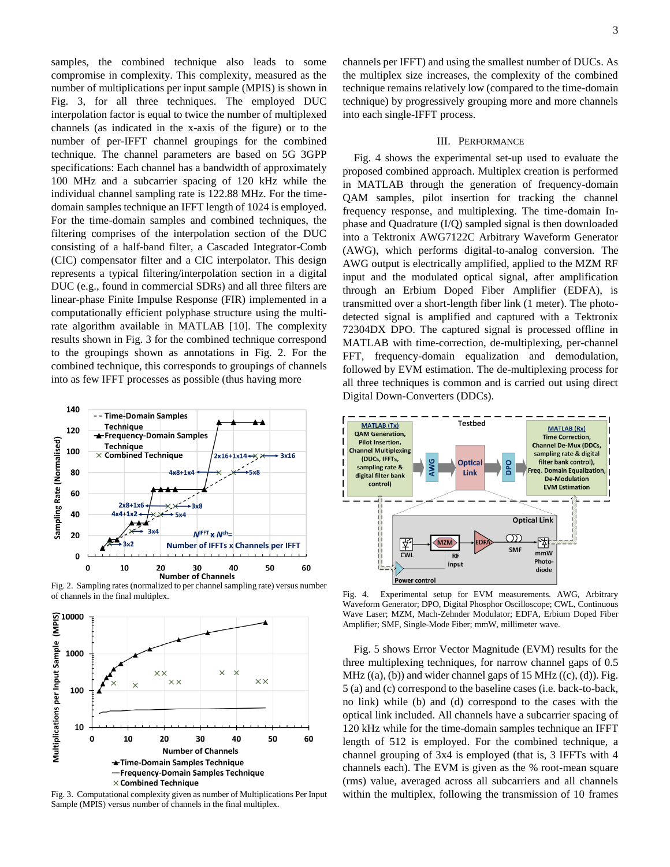samples, the combined technique also leads to some compromise in complexity. This complexity, measured as the number of multiplications per input sample (MPIS) is shown in Fig. 3, for all three techniques. The employed DUC interpolation factor is equal to twice the number of multiplexed channels (as indicated in the x-axis of the figure) or to the number of per-IFFT channel groupings for the combined technique. The channel parameters are based on 5G 3GPP specifications: Each channel has a bandwidth of approximately 100 MHz and a subcarrier spacing of 120 kHz while the individual channel sampling rate is 122.88 MHz. For the timedomain samples technique an IFFT length of 1024 is employed. For the time-domain samples and combined techniques, the filtering comprises of the interpolation section of the DUC consisting of a half-band filter, a Cascaded Integrator-Comb (CIC) compensator filter and a CIC interpolator. This design represents a typical filtering/interpolation section in a digital DUC (e.g., found in commercial SDRs) and all three filters are linear-phase Finite Impulse Response (FIR) implemented in a computationally efficient polyphase structure using the multirate algorithm available in MATLAB [10]. The complexity results shown in Fig. 3 for the combined technique correspond to the groupings shown as annotations in Fig. 2. For the combined technique, this corresponds to groupings of channels into as few IFFT processes as possible (thus having more



Fig. 2. Sampling rates (normalized to per channel sampling rate) versus number of channels in the final multiplex.



Fig. 3. Computational complexity given as number of Multiplications Per Input Sample (MPIS) versus number of channels in the final multiplex.

3

channels per IFFT) and using the smallest number of DUCs. As the multiplex size increases, the complexity of the combined technique remains relatively low (compared to the time-domain technique) by progressively grouping more and more channels into each single-IFFT process.

#### III. PERFORMANCE

Fig. 4 shows the experimental set-up used to evaluate the proposed combined approach. Multiplex creation is performed in MATLAB through the generation of frequency-domain QAM samples, pilot insertion for tracking the channel frequency response, and multiplexing. The time-domain Inphase and Quadrature (I/Q) sampled signal is then downloaded into a Tektronix AWG7122C Arbitrary Waveform Generator (AWG), which performs digital-to-analog conversion. The AWG output is electrically amplified, applied to the MZM RF input and the modulated optical signal, after amplification through an Erbium Doped Fiber Amplifier (EDFA), is transmitted over a short-length fiber link (1 meter). The photodetected signal is amplified and captured with a Tektronix 72304DX DPO. The captured signal is processed offline in MATLAB with time-correction, de-multiplexing, per-channel FFT, frequency-domain equalization and demodulation, followed by EVM estimation. The de-multiplexing process for all three techniques is common and is carried out using direct Digital Down-Converters (DDCs).



Fig. 4. Experimental setup for EVM measurements. AWG, Arbitrary Waveform Generator; DPO, Digital Phosphor Oscilloscope; CWL, Continuous Wave Laser; MZM, Mach-Zehnder Modulator; EDFA, Erbium Doped Fiber Amplifier; SMF, Single-Mode Fiber; mmW, millimeter wave.

Fig. 5 shows Error Vector Magnitude (EVM) results for the three multiplexing techniques, for narrow channel gaps of 0.5 MHz  $((a), (b))$  and wider channel gaps of 15 MHz  $((c), (d))$ . Fig. 5 (a) and (c) correspond to the baseline cases (i.e. back-to-back, no link) while (b) and (d) correspond to the cases with the optical link included. All channels have a subcarrier spacing of 120 kHz while for the time-domain samples technique an IFFT length of 512 is employed. For the combined technique, a channel grouping of 3x4 is employed (that is, 3 IFFTs with 4 channels each). The EVM is given as the % root-mean square (rms) value, averaged across all subcarriers and all channels within the multiplex, following the transmission of 10 frames